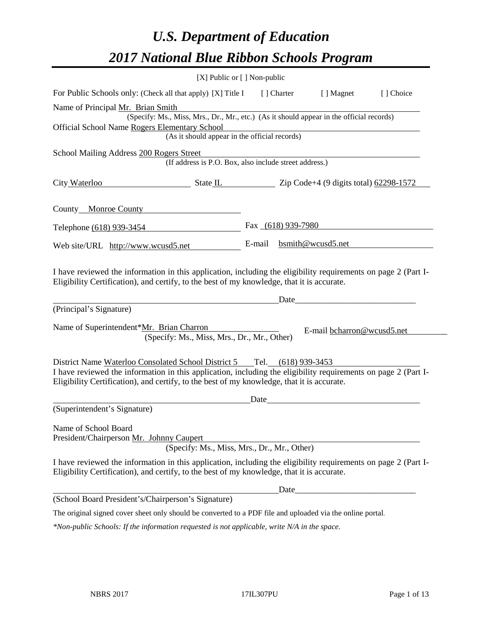# *U.S. Department of Education 2017 National Blue Ribbon Schools Program*

|                                                                                                                                                                                                              | [X] Public or [] Non-public                            |      |       |                            |           |
|--------------------------------------------------------------------------------------------------------------------------------------------------------------------------------------------------------------|--------------------------------------------------------|------|-------|----------------------------|-----------|
| For Public Schools only: (Check all that apply) [X] Title I [] Charter                                                                                                                                       |                                                        |      |       | [ ] Magnet                 | [] Choice |
| Name of Principal Mr. Brian Smith                                                                                                                                                                            |                                                        |      |       |                            |           |
| (Specify: Ms., Miss, Mrs., Dr., Mr., etc.) (As it should appear in the official records)                                                                                                                     |                                                        |      |       |                            |           |
| Official School Name Rogers Elementary School                                                                                                                                                                | (As it should appear in the official records)          |      |       |                            |           |
|                                                                                                                                                                                                              |                                                        |      |       |                            |           |
| School Mailing Address 200 Rogers Street                                                                                                                                                                     | (If address is P.O. Box, also include street address.) |      |       |                            |           |
| $\frac{1}{2}$ State IL $\frac{1}{2}$ Zip Code+4 (9 digits total) $\frac{62298-1572}{2}$<br>City Waterloo                                                                                                     |                                                        |      |       |                            |           |
| County Monroe County                                                                                                                                                                                         |                                                        |      |       |                            |           |
| Telephone (618) 939-3454                                                                                                                                                                                     |                                                        |      |       | Fax $(618)$ 939-7980       |           |
| Web site/URL http://www.wcusd5.net                                                                                                                                                                           |                                                        |      |       | E-mail bsmith@wcusd5.net   |           |
| (Principal's Signature)                                                                                                                                                                                      |                                                        |      | Date  |                            |           |
| Name of Superintendent*Mr. Brian Charron<br>(Specify: Ms., Miss, Mrs., Dr., Mr., Other)                                                                                                                      |                                                        |      |       | E-mail bcharron@wcusd5.net |           |
| District Name Waterloo Consolated School District 5 Tel. (618) 939-3453                                                                                                                                      |                                                        |      |       |                            |           |
| I have reviewed the information in this application, including the eligibility requirements on page 2 (Part I-<br>Eligibility Certification), and certify, to the best of my knowledge, that it is accurate. |                                                        |      |       |                            |           |
|                                                                                                                                                                                                              |                                                        | Date |       |                            |           |
| (Superintendent's Signature)                                                                                                                                                                                 |                                                        |      |       |                            |           |
| Name of School Board                                                                                                                                                                                         |                                                        |      |       |                            |           |
| President/Chairperson Mr. Johnny Caupert                                                                                                                                                                     |                                                        |      |       |                            |           |
|                                                                                                                                                                                                              | (Specify: Ms., Miss, Mrs., Dr., Mr., Other)            |      |       |                            |           |
| I have reviewed the information in this application, including the eligibility requirements on page 2 (Part I-<br>Eligibility Certification), and certify, to the best of my knowledge, that it is accurate. |                                                        |      |       |                            |           |
|                                                                                                                                                                                                              |                                                        |      | Date_ |                            |           |
| (School Board President's/Chairperson's Signature)                                                                                                                                                           |                                                        |      |       |                            |           |
| The original signed cover sheet only should be converted to a PDF file and uploaded via the online portal.                                                                                                   |                                                        |      |       |                            |           |
| $*$ Non-public Schools: If the information requested is not applicable, write N/A in the space.                                                                                                              |                                                        |      |       |                            |           |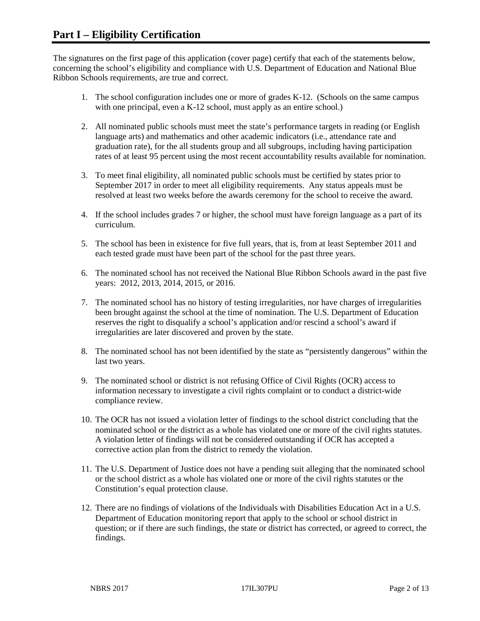The signatures on the first page of this application (cover page) certify that each of the statements below, concerning the school's eligibility and compliance with U.S. Department of Education and National Blue Ribbon Schools requirements, are true and correct.

- 1. The school configuration includes one or more of grades K-12. (Schools on the same campus with one principal, even a K-12 school, must apply as an entire school.)
- 2. All nominated public schools must meet the state's performance targets in reading (or English language arts) and mathematics and other academic indicators (i.e., attendance rate and graduation rate), for the all students group and all subgroups, including having participation rates of at least 95 percent using the most recent accountability results available for nomination.
- 3. To meet final eligibility, all nominated public schools must be certified by states prior to September 2017 in order to meet all eligibility requirements. Any status appeals must be resolved at least two weeks before the awards ceremony for the school to receive the award.
- 4. If the school includes grades 7 or higher, the school must have foreign language as a part of its curriculum.
- 5. The school has been in existence for five full years, that is, from at least September 2011 and each tested grade must have been part of the school for the past three years.
- 6. The nominated school has not received the National Blue Ribbon Schools award in the past five years: 2012, 2013, 2014, 2015, or 2016.
- 7. The nominated school has no history of testing irregularities, nor have charges of irregularities been brought against the school at the time of nomination. The U.S. Department of Education reserves the right to disqualify a school's application and/or rescind a school's award if irregularities are later discovered and proven by the state.
- 8. The nominated school has not been identified by the state as "persistently dangerous" within the last two years.
- 9. The nominated school or district is not refusing Office of Civil Rights (OCR) access to information necessary to investigate a civil rights complaint or to conduct a district-wide compliance review.
- 10. The OCR has not issued a violation letter of findings to the school district concluding that the nominated school or the district as a whole has violated one or more of the civil rights statutes. A violation letter of findings will not be considered outstanding if OCR has accepted a corrective action plan from the district to remedy the violation.
- 11. The U.S. Department of Justice does not have a pending suit alleging that the nominated school or the school district as a whole has violated one or more of the civil rights statutes or the Constitution's equal protection clause.
- 12. There are no findings of violations of the Individuals with Disabilities Education Act in a U.S. Department of Education monitoring report that apply to the school or school district in question; or if there are such findings, the state or district has corrected, or agreed to correct, the findings.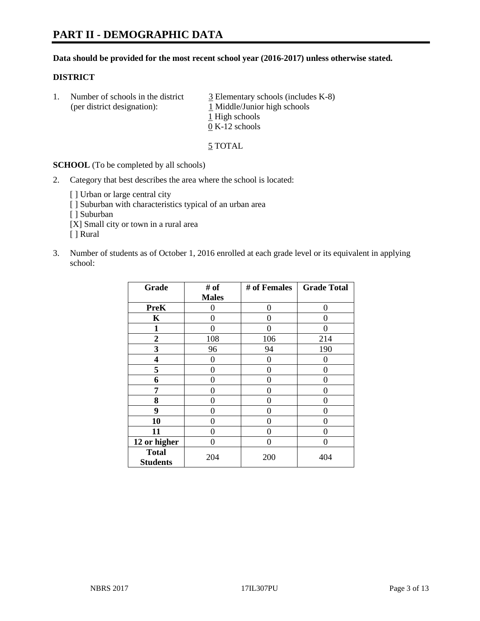#### **Data should be provided for the most recent school year (2016-2017) unless otherwise stated.**

#### **DISTRICT**

1. Number of schools in the district  $\frac{3}{2}$  Elementary schools (includes K-8) (per district designation): 1 Middle/Junior high schools 1 High schools 0 K-12 schools

5 TOTAL

**SCHOOL** (To be completed by all schools)

- 2. Category that best describes the area where the school is located:
	- [] Urban or large central city [ ] Suburban with characteristics typical of an urban area [ ] Suburban [X] Small city or town in a rural area [ ] Rural
- 3. Number of students as of October 1, 2016 enrolled at each grade level or its equivalent in applying school:

| Grade                           | # of         | # of Females | <b>Grade Total</b> |
|---------------------------------|--------------|--------------|--------------------|
|                                 | <b>Males</b> |              |                    |
| <b>PreK</b>                     | 0            | 0            | 0                  |
| K                               | 0            | 0            | 0                  |
| $\mathbf{1}$                    | 0            | 0            | 0                  |
| $\overline{2}$                  | 108          | 106          | 214                |
| 3                               | 96           | 94           | 190                |
| 4                               | 0            | 0            | $\Omega$           |
| 5                               | 0            | 0            | 0                  |
| 6                               | 0            | 0            | 0                  |
| 7                               | 0            | 0            | 0                  |
| 8                               | $\theta$     | 0            | 0                  |
| 9                               | 0            | 0            | 0                  |
| 10                              | $\theta$     | 0            | $\Omega$           |
| 11                              | 0            | 0            | 0                  |
| 12 or higher                    | 0            | 0            | $\Omega$           |
| <b>Total</b><br><b>Students</b> | 204          | 200          | 404                |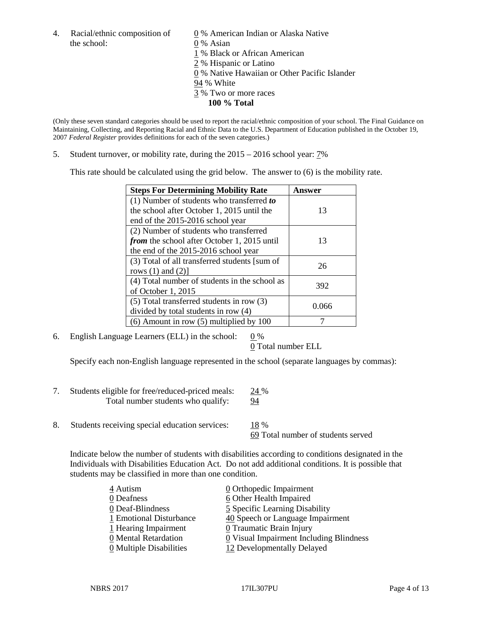4. Racial/ethnic composition of  $\qquad \qquad \underline{0}$  % American Indian or Alaska Native the school: 0 % Asian

 % Black or African American % Hispanic or Latino % Native Hawaiian or Other Pacific Islander 94 % White % Two or more races **100 % Total**

(Only these seven standard categories should be used to report the racial/ethnic composition of your school. The Final Guidance on Maintaining, Collecting, and Reporting Racial and Ethnic Data to the U.S. Department of Education published in the October 19, 2007 *Federal Register* provides definitions for each of the seven categories.)

5. Student turnover, or mobility rate, during the 2015 – 2016 school year: 7%

This rate should be calculated using the grid below. The answer to (6) is the mobility rate.

| <b>Steps For Determining Mobility Rate</b>         | Answer |  |
|----------------------------------------------------|--------|--|
| (1) Number of students who transferred to          |        |  |
| the school after October 1, 2015 until the         | 13     |  |
| end of the 2015-2016 school year                   |        |  |
| (2) Number of students who transferred             |        |  |
| <i>from</i> the school after October 1, 2015 until | 13     |  |
| the end of the 2015-2016 school year               |        |  |
| (3) Total of all transferred students [sum of      | 26     |  |
| rows $(1)$ and $(2)$ ]                             |        |  |
| (4) Total number of students in the school as      | 392    |  |
| of October 1, 2015                                 |        |  |
| (5) Total transferred students in row (3)          | 0.066  |  |
| divided by total students in row (4)               |        |  |
| $(6)$ Amount in row $(5)$ multiplied by 100        |        |  |

6. English Language Learners (ELL) in the school:  $0\%$ 

0 Total number ELL

Specify each non-English language represented in the school (separate languages by commas):

- 7. Students eligible for free/reduced-priced meals: 24 % Total number students who qualify: 94
- 8. Students receiving special education services: 18 %

69 Total number of students served

Indicate below the number of students with disabilities according to conditions designated in the Individuals with Disabilities Education Act. Do not add additional conditions. It is possible that students may be classified in more than one condition.

| 4 Autism                              | $\underline{0}$ Orthopedic Impairment   |
|---------------------------------------|-----------------------------------------|
| 0 Deafness                            | 6 Other Health Impaired                 |
| 0 Deaf-Blindness                      | 5 Specific Learning Disability          |
| 1 Emotional Disturbance               | 40 Speech or Language Impairment        |
| 1 Hearing Impairment                  | 0 Traumatic Brain Injury                |
| 0 Mental Retardation                  | 0 Visual Impairment Including Blindness |
| $\underline{0}$ Multiple Disabilities | 12 Developmentally Delayed              |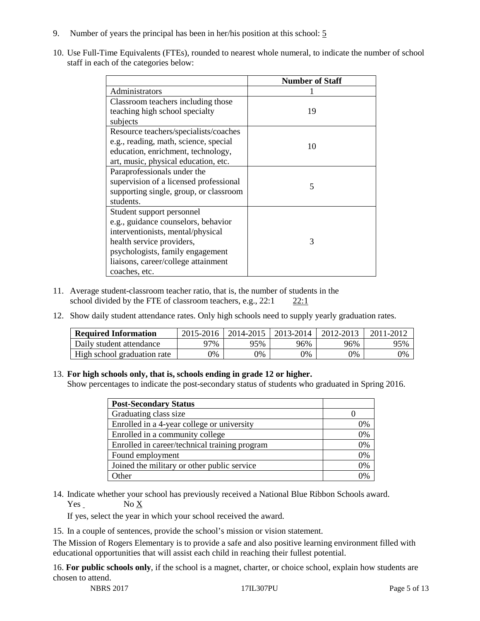- 9. Number of years the principal has been in her/his position at this school: 5
- 10. Use Full-Time Equivalents (FTEs), rounded to nearest whole numeral, to indicate the number of school staff in each of the categories below:

|                                        | <b>Number of Staff</b>   |
|----------------------------------------|--------------------------|
| Administrators                         |                          |
| Classroom teachers including those     |                          |
| teaching high school specialty         | 19                       |
| subjects                               |                          |
| Resource teachers/specialists/coaches  |                          |
| e.g., reading, math, science, special  | 10                       |
| education, enrichment, technology,     |                          |
| art, music, physical education, etc.   |                          |
| Paraprofessionals under the            |                          |
| supervision of a licensed professional | $\overline{\mathcal{L}}$ |
| supporting single, group, or classroom |                          |
| students.                              |                          |
| Student support personnel              |                          |
| e.g., guidance counselors, behavior    |                          |
| interventionists, mental/physical      |                          |
| health service providers,              | 3                        |
| psychologists, family engagement       |                          |
| liaisons, career/college attainment    |                          |
| coaches, etc.                          |                          |

- 11. Average student-classroom teacher ratio, that is, the number of students in the school divided by the FTE of classroom teachers, e.g., 22:1 22:1
- 12. Show daily student attendance rates. Only high schools need to supply yearly graduation rates.

| <b>Required Information</b> | 2015-2016 | 2014-2015 | 2013-2014 | 2012-2013 |     |
|-----------------------------|-----------|-----------|-----------|-----------|-----|
| Daily student attendance    | 77%       | 95%       | 96%       | 96%       | 95% |
| High school graduation rate | 0%        | 0%        | 0%        | 9%        | 0%  |

#### 13. **For high schools only, that is, schools ending in grade 12 or higher.**

Show percentages to indicate the post-secondary status of students who graduated in Spring 2016.

| <b>Post-Secondary Status</b>                  |    |
|-----------------------------------------------|----|
| Graduating class size                         |    |
| Enrolled in a 4-year college or university    | 0% |
| Enrolled in a community college               | 0% |
| Enrolled in career/technical training program | 0% |
| Found employment                              | 0% |
| Joined the military or other public service   | 0% |
| )ther                                         | 0/ |

14. Indicate whether your school has previously received a National Blue Ribbon Schools award. Yes No X

If yes, select the year in which your school received the award.

15. In a couple of sentences, provide the school's mission or vision statement.

The Mission of Rogers Elementary is to provide a safe and also positive learning environment filled with educational opportunities that will assist each child in reaching their fullest potential.

16. **For public schools only**, if the school is a magnet, charter, or choice school, explain how students are chosen to attend.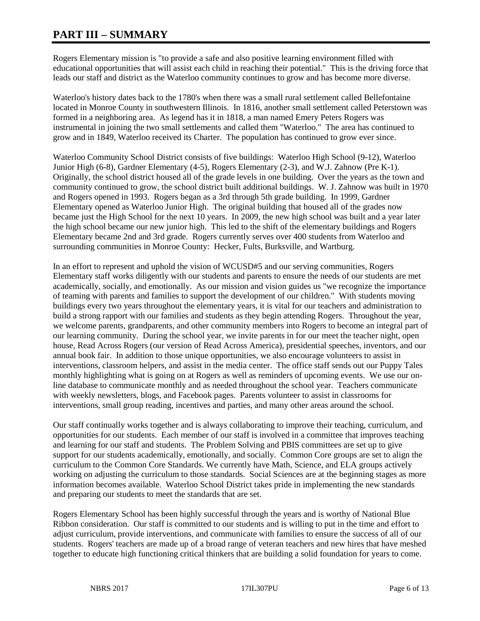# **PART III – SUMMARY**

Rogers Elementary mission is "to provide a safe and also positive learning environment filled with educational opportunities that will assist each child in reaching their potential." This is the driving force that leads our staff and district as the Waterloo community continues to grow and has become more diverse.

Waterloo's history dates back to the 1780's when there was a small rural settlement called Bellefontaine located in Monroe County in southwestern Illinois. In 1816, another small settlement called Peterstown was formed in a neighboring area. As legend has it in 1818, a man named Emery Peters Rogers was instrumental in joining the two small settlements and called them "Waterloo." The area has continued to grow and in 1849, Waterloo received its Charter. The population has continued to grow ever since.

Waterloo Community School District consists of five buildings: Waterloo High School (9-12), Waterloo Junior High (6-8), Gardner Elementary (4-5), Rogers Elementary (2-3), and W.J. Zahnow (Pre K-1). Originally, the school district housed all of the grade levels in one building. Over the years as the town and community continued to grow, the school district built additional buildings. W. J. Zahnow was built in 1970 and Rogers opened in 1993. Rogers began as a 3rd through 5th grade building. In 1999, Gardner Elementary opened as Waterloo Junior High. The original building that housed all of the grades now became just the High School for the next 10 years. In 2009, the new high school was built and a year later the high school became our new junior high. This led to the shift of the elementary buildings and Rogers Elementary became 2nd and 3rd grade. Rogers currently serves over 400 students from Waterloo and surrounding communities in Monroe County: Hecker, Fults, Burksville, and Wartburg.

In an effort to represent and uphold the vision of WCUSD#5 and our serving communities, Rogers Elementary staff works diligently with our students and parents to ensure the needs of our students are met academically, socially, and emotionally. As our mission and vision guides us "we recognize the importance of teaming with parents and families to support the development of our children." With students moving buildings every two years throughout the elementary years, it is vital for our teachers and administration to build a strong rapport with our families and students as they begin attending Rogers. Throughout the year, we welcome parents, grandparents, and other community members into Rogers to become an integral part of our learning community. During the school year, we invite parents in for our meet the teacher night, open house, Read Across Rogers (our version of Read Across America), presidential speeches, inventors, and our annual book fair. In addition to those unique opportunities, we also encourage volunteers to assist in interventions, classroom helpers, and assist in the media center. The office staff sends out our Puppy Tales monthly highlighting what is going on at Rogers as well as reminders of upcoming events. We use our online database to communicate monthly and as needed throughout the school year. Teachers communicate with weekly newsletters, blogs, and Facebook pages. Parents volunteer to assist in classrooms for interventions, small group reading, incentives and parties, and many other areas around the school.

Our staff continually works together and is always collaborating to improve their teaching, curriculum, and opportunities for our students. Each member of our staff is involved in a committee that improves teaching and learning for our staff and students. The Problem Solving and PBIS committees are set up to give support for our students academically, emotionally, and socially. Common Core groups are set to align the curriculum to the Common Core Standards. We currently have Math, Science, and ELA groups actively working on adjusting the curriculum to those standards. Social Sciences are at the beginning stages as more information becomes available. Waterloo School District takes pride in implementing the new standards and preparing our students to meet the standards that are set.

Rogers Elementary School has been highly successful through the years and is worthy of National Blue Ribbon consideration. Our staff is committed to our students and is willing to put in the time and effort to adjust curriculum, provide interventions, and communicate with families to ensure the success of all of our students. Rogers' teachers are made up of a broad range of veteran teachers and new hires that have meshed together to educate high functioning critical thinkers that are building a solid foundation for years to come.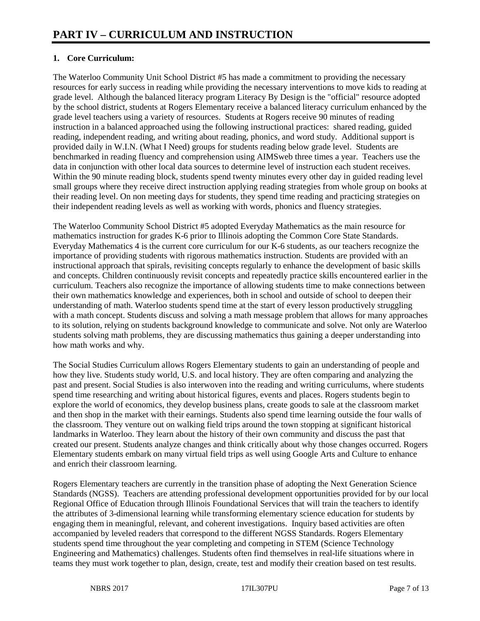## **1. Core Curriculum:**

The Waterloo Community Unit School District #5 has made a commitment to providing the necessary resources for early success in reading while providing the necessary interventions to move kids to reading at grade level. Although the balanced literacy program Literacy By Design is the "official" resource adopted by the school district, students at Rogers Elementary receive a balanced literacy curriculum enhanced by the grade level teachers using a variety of resources. Students at Rogers receive 90 minutes of reading instruction in a balanced approached using the following instructional practices: shared reading, guided reading, independent reading, and writing about reading, phonics, and word study. Additional support is provided daily in W.I.N. (What I Need) groups for students reading below grade level. Students are benchmarked in reading fluency and comprehension using AIMSweb three times a year. Teachers use the data in conjunction with other local data sources to determine level of instruction each student receives. Within the 90 minute reading block, students spend twenty minutes every other day in guided reading level small groups where they receive direct instruction applying reading strategies from whole group on books at their reading level. On non meeting days for students, they spend time reading and practicing strategies on their independent reading levels as well as working with words, phonics and fluency strategies.

The Waterloo Community School District #5 adopted Everyday Mathematics as the main resource for mathematics instruction for grades K-6 prior to Illinois adopting the Common Core State Standards. Everyday Mathematics 4 is the current core curriculum for our K-6 students, as our teachers recognize the importance of providing students with rigorous mathematics instruction. Students are provided with an instructional approach that spirals, revisiting concepts regularly to enhance the development of basic skills and concepts. Children continuously revisit concepts and repeatedly practice skills encountered earlier in the curriculum. Teachers also recognize the importance of allowing students time to make connections between their own mathematics knowledge and experiences, both in school and outside of school to deepen their understanding of math. Waterloo students spend time at the start of every lesson productively struggling with a math concept. Students discuss and solving a math message problem that allows for many approaches to its solution, relying on students background knowledge to communicate and solve. Not only are Waterloo students solving math problems, they are discussing mathematics thus gaining a deeper understanding into how math works and why.

The Social Studies Curriculum allows Rogers Elementary students to gain an understanding of people and how they live. Students study world, U.S. and local history. They are often comparing and analyzing the past and present. Social Studies is also interwoven into the reading and writing curriculums, where students spend time researching and writing about historical figures, events and places. Rogers students begin to explore the world of economics, they develop business plans, create goods to sale at the classroom market and then shop in the market with their earnings. Students also spend time learning outside the four walls of the classroom. They venture out on walking field trips around the town stopping at significant historical landmarks in Waterloo. They learn about the history of their own community and discuss the past that created our present. Students analyze changes and think critically about why those changes occurred. Rogers Elementary students embark on many virtual field trips as well using Google Arts and Culture to enhance and enrich their classroom learning.

Rogers Elementary teachers are currently in the transition phase of adopting the Next Generation Science Standards (NGSS). Teachers are attending professional development opportunities provided for by our local Regional Office of Education through Illinois Foundational Services that will train the teachers to identify the attributes of 3-dimensional learning while transforming elementary science education for students by engaging them in meaningful, relevant, and coherent investigations. Inquiry based activities are often accompanied by leveled readers that correspond to the different NGSS Standards. Rogers Elementary students spend time throughout the year completing and competing in STEM (Science Technology Engineering and Mathematics) challenges. Students often find themselves in real-life situations where in teams they must work together to plan, design, create, test and modify their creation based on test results.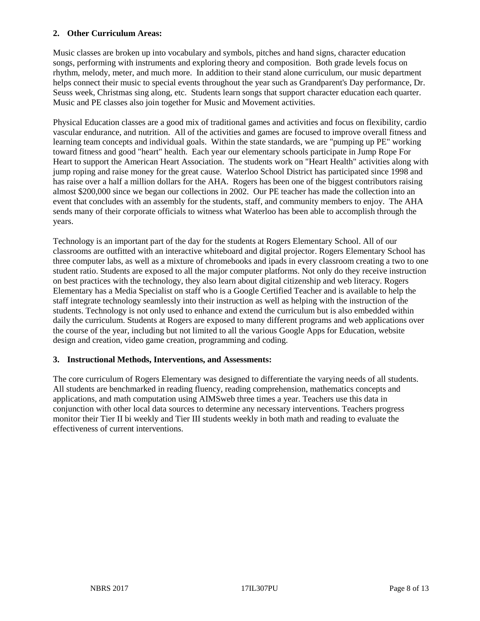#### **2. Other Curriculum Areas:**

Music classes are broken up into vocabulary and symbols, pitches and hand signs, character education songs, performing with instruments and exploring theory and composition. Both grade levels focus on rhythm, melody, meter, and much more. In addition to their stand alone curriculum, our music department helps connect their music to special events throughout the year such as Grandparent's Day performance, Dr. Seuss week, Christmas sing along, etc. Students learn songs that support character education each quarter. Music and PE classes also join together for Music and Movement activities.

Physical Education classes are a good mix of traditional games and activities and focus on flexibility, cardio vascular endurance, and nutrition. All of the activities and games are focused to improve overall fitness and learning team concepts and individual goals. Within the state standards, we are "pumping up PE" working toward fitness and good "heart" health. Each year our elementary schools participate in Jump Rope For Heart to support the American Heart Association. The students work on "Heart Health" activities along with jump roping and raise money for the great cause. Waterloo School District has participated since 1998 and has raise over a half a million dollars for the AHA. Rogers has been one of the biggest contributors raising almost \$200,000 since we began our collections in 2002. Our PE teacher has made the collection into an event that concludes with an assembly for the students, staff, and community members to enjoy. The AHA sends many of their corporate officials to witness what Waterloo has been able to accomplish through the years.

Technology is an important part of the day for the students at Rogers Elementary School. All of our classrooms are outfitted with an interactive whiteboard and digital projector. Rogers Elementary School has three computer labs, as well as a mixture of chromebooks and ipads in every classroom creating a two to one student ratio. Students are exposed to all the major computer platforms. Not only do they receive instruction on best practices with the technology, they also learn about digital citizenship and web literacy. Rogers Elementary has a Media Specialist on staff who is a Google Certified Teacher and is available to help the staff integrate technology seamlessly into their instruction as well as helping with the instruction of the students. Technology is not only used to enhance and extend the curriculum but is also embedded within daily the curriculum. Students at Rogers are exposed to many different programs and web applications over the course of the year, including but not limited to all the various Google Apps for Education, website design and creation, video game creation, programming and coding.

#### **3. Instructional Methods, Interventions, and Assessments:**

The core curriculum of Rogers Elementary was designed to differentiate the varying needs of all students. All students are benchmarked in reading fluency, reading comprehension, mathematics concepts and applications, and math computation using AIMSweb three times a year. Teachers use this data in conjunction with other local data sources to determine any necessary interventions. Teachers progress monitor their Tier II bi weekly and Tier III students weekly in both math and reading to evaluate the effectiveness of current interventions.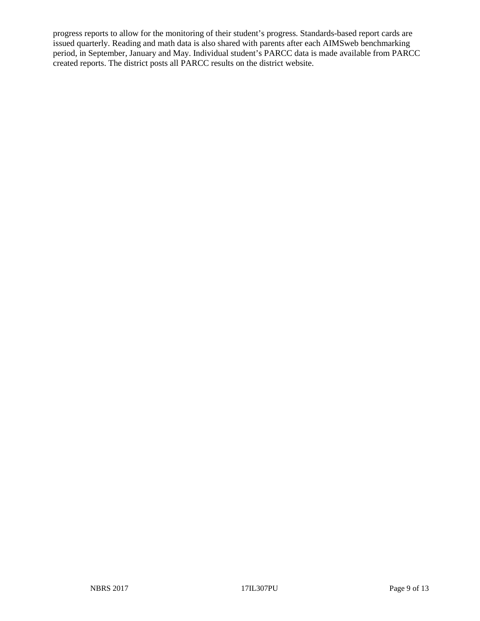progress reports to allow for the monitoring of their student's progress. Standards-based report cards are issued quarterly. Reading and math data is also shared with parents after each AIMSweb benchmarking period, in September, January and May. Individual student's PARCC data is made available from PARCC created reports. The district posts all PARCC results on the district website.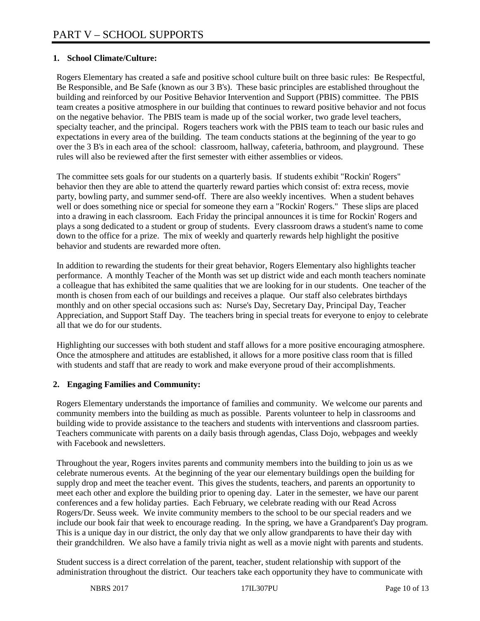## **1. School Climate/Culture:**

Rogers Elementary has created a safe and positive school culture built on three basic rules: Be Respectful, Be Responsible, and Be Safe (known as our 3 B's). These basic principles are established throughout the building and reinforced by our Positive Behavior Intervention and Support (PBIS) committee. The PBIS team creates a positive atmosphere in our building that continues to reward positive behavior and not focus on the negative behavior. The PBIS team is made up of the social worker, two grade level teachers, specialty teacher, and the principal. Rogers teachers work with the PBIS team to teach our basic rules and expectations in every area of the building. The team conducts stations at the beginning of the year to go over the 3 B's in each area of the school: classroom, hallway, cafeteria, bathroom, and playground. These rules will also be reviewed after the first semester with either assemblies or videos.

The committee sets goals for our students on a quarterly basis. If students exhibit "Rockin' Rogers" behavior then they are able to attend the quarterly reward parties which consist of: extra recess, movie party, bowling party, and summer send-off. There are also weekly incentives. When a student behaves well or does something nice or special for someone they earn a "Rockin' Rogers." These slips are placed into a drawing in each classroom. Each Friday the principal announces it is time for Rockin' Rogers and plays a song dedicated to a student or group of students. Every classroom draws a student's name to come down to the office for a prize. The mix of weekly and quarterly rewards help highlight the positive behavior and students are rewarded more often.

In addition to rewarding the students for their great behavior, Rogers Elementary also highlights teacher performance. A monthly Teacher of the Month was set up district wide and each month teachers nominate a colleague that has exhibited the same qualities that we are looking for in our students. One teacher of the month is chosen from each of our buildings and receives a plaque. Our staff also celebrates birthdays monthly and on other special occasions such as: Nurse's Day, Secretary Day, Principal Day, Teacher Appreciation, and Support Staff Day. The teachers bring in special treats for everyone to enjoy to celebrate all that we do for our students.

Highlighting our successes with both student and staff allows for a more positive encouraging atmosphere. Once the atmosphere and attitudes are established, it allows for a more positive class room that is filled with students and staff that are ready to work and make everyone proud of their accomplishments.

### **2. Engaging Families and Community:**

Rogers Elementary understands the importance of families and community. We welcome our parents and community members into the building as much as possible. Parents volunteer to help in classrooms and building wide to provide assistance to the teachers and students with interventions and classroom parties. Teachers communicate with parents on a daily basis through agendas, Class Dojo, webpages and weekly with Facebook and newsletters.

Throughout the year, Rogers invites parents and community members into the building to join us as we celebrate numerous events. At the beginning of the year our elementary buildings open the building for supply drop and meet the teacher event. This gives the students, teachers, and parents an opportunity to meet each other and explore the building prior to opening day. Later in the semester, we have our parent conferences and a few holiday parties. Each February, we celebrate reading with our Read Across Rogers/Dr. Seuss week. We invite community members to the school to be our special readers and we include our book fair that week to encourage reading. In the spring, we have a Grandparent's Day program. This is a unique day in our district, the only day that we only allow grandparents to have their day with their grandchildren. We also have a family trivia night as well as a movie night with parents and students.

Student success is a direct correlation of the parent, teacher, student relationship with support of the administration throughout the district. Our teachers take each opportunity they have to communicate with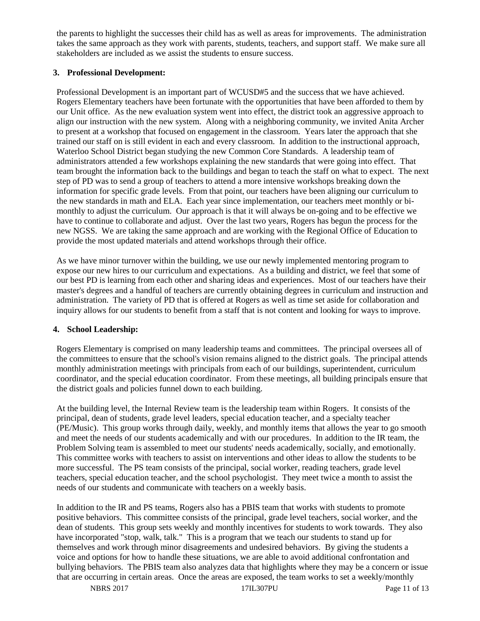the parents to highlight the successes their child has as well as areas for improvements. The administration takes the same approach as they work with parents, students, teachers, and support staff. We make sure all stakeholders are included as we assist the students to ensure success.

#### **3. Professional Development:**

Professional Development is an important part of WCUSD#5 and the success that we have achieved. Rogers Elementary teachers have been fortunate with the opportunities that have been afforded to them by our Unit office. As the new evaluation system went into effect, the district took an aggressive approach to align our instruction with the new system. Along with a neighboring community, we invited Anita Archer to present at a workshop that focused on engagement in the classroom. Years later the approach that she trained our staff on is still evident in each and every classroom. In addition to the instructional approach, Waterloo School District began studying the new Common Core Standards. A leadership team of administrators attended a few workshops explaining the new standards that were going into effect. That team brought the information back to the buildings and began to teach the staff on what to expect. The next step of PD was to send a group of teachers to attend a more intensive workshops breaking down the information for specific grade levels. From that point, our teachers have been aligning our curriculum to the new standards in math and ELA. Each year since implementation, our teachers meet monthly or bimonthly to adjust the curriculum. Our approach is that it will always be on-going and to be effective we have to continue to collaborate and adjust. Over the last two years, Rogers has begun the process for the new NGSS. We are taking the same approach and are working with the Regional Office of Education to provide the most updated materials and attend workshops through their office.

As we have minor turnover within the building, we use our newly implemented mentoring program to expose our new hires to our curriculum and expectations. As a building and district, we feel that some of our best PD is learning from each other and sharing ideas and experiences. Most of our teachers have their master's degrees and a handful of teachers are currently obtaining degrees in curriculum and instruction and administration. The variety of PD that is offered at Rogers as well as time set aside for collaboration and inquiry allows for our students to benefit from a staff that is not content and looking for ways to improve.

#### **4. School Leadership:**

Rogers Elementary is comprised on many leadership teams and committees. The principal oversees all of the committees to ensure that the school's vision remains aligned to the district goals. The principal attends monthly administration meetings with principals from each of our buildings, superintendent, curriculum coordinator, and the special education coordinator. From these meetings, all building principals ensure that the district goals and policies funnel down to each building.

At the building level, the Internal Review team is the leadership team within Rogers. It consists of the principal, dean of students, grade level leaders, special education teacher, and a specialty teacher (PE/Music). This group works through daily, weekly, and monthly items that allows the year to go smooth and meet the needs of our students academically and with our procedures. In addition to the IR team, the Problem Solving team is assembled to meet our students' needs academically, socially, and emotionally. This committee works with teachers to assist on interventions and other ideas to allow the students to be more successful. The PS team consists of the principal, social worker, reading teachers, grade level teachers, special education teacher, and the school psychologist. They meet twice a month to assist the needs of our students and communicate with teachers on a weekly basis.

In addition to the IR and PS teams, Rogers also has a PBIS team that works with students to promote positive behaviors. This committee consists of the principal, grade level teachers, social worker, and the dean of students. This group sets weekly and monthly incentives for students to work towards. They also have incorporated "stop, walk, talk." This is a program that we teach our students to stand up for themselves and work through minor disagreements and undesired behaviors. By giving the students a voice and options for how to handle these situations, we are able to avoid additional confrontation and bullying behaviors. The PBIS team also analyzes data that highlights where they may be a concern or issue that are occurring in certain areas. Once the areas are exposed, the team works to set a weekly/monthly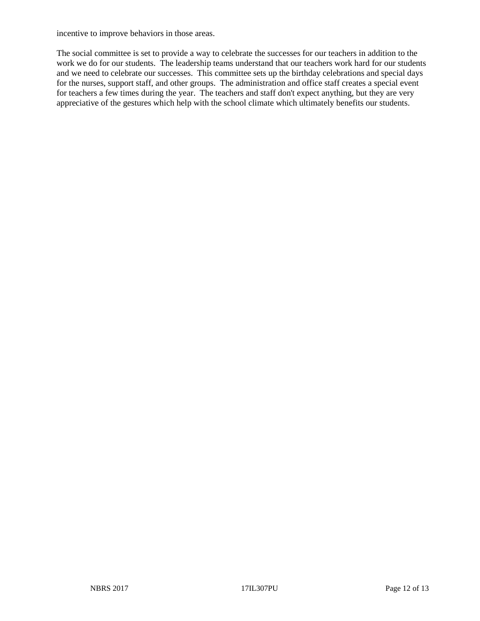incentive to improve behaviors in those areas.

The social committee is set to provide a way to celebrate the successes for our teachers in addition to the work we do for our students. The leadership teams understand that our teachers work hard for our students and we need to celebrate our successes. This committee sets up the birthday celebrations and special days for the nurses, support staff, and other groups. The administration and office staff creates a special event for teachers a few times during the year. The teachers and staff don't expect anything, but they are very appreciative of the gestures which help with the school climate which ultimately benefits our students.